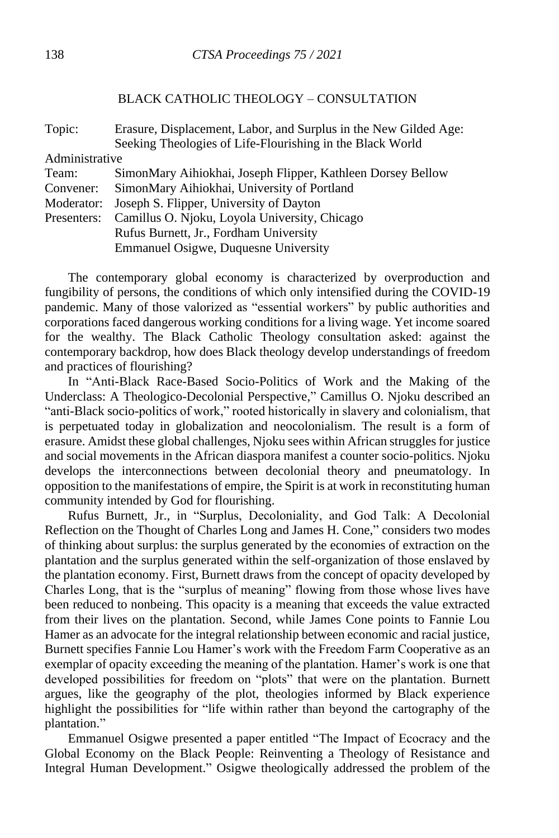## BLACK CATHOLIC THEOLOGY – CONSULTATION

| Topic:         | Erasure, Displacement, Labor, and Surplus in the New Gilded Age: |
|----------------|------------------------------------------------------------------|
|                | Seeking Theologies of Life-Flourishing in the Black World        |
| Administrative |                                                                  |
| Team:          | SimonMary Aihiokhai, Joseph Flipper, Kathleen Dorsey Bellow      |
| Convener:      | SimonMary Aihiokhai, University of Portland                      |
| Moderator:     | Joseph S. Flipper, University of Dayton                          |
| Presenters:    | Camillus O. Njoku, Loyola University, Chicago                    |
|                | Rufus Burnett, Jr., Fordham University                           |
|                | Emmanuel Osigwe, Duquesne University                             |
|                |                                                                  |

The contemporary global economy is characterized by overproduction and fungibility of persons, the conditions of which only intensified during the COVID-19 pandemic. Many of those valorized as "essential workers" by public authorities and corporations faced dangerous working conditions for a living wage. Yet income soared for the wealthy. The Black Catholic Theology consultation asked: against the contemporary backdrop, how does Black theology develop understandings of freedom and practices of flourishing?

In "Anti-Black Race-Based Socio-Politics of Work and the Making of the Underclass: A Theologico-Decolonial Perspective," Camillus O. Njoku described an "anti-Black socio-politics of work," rooted historically in slavery and colonialism, that is perpetuated today in globalization and neocolonialism. The result is a form of erasure. Amidst these global challenges, Njoku sees within African struggles for justice and social movements in the African diaspora manifest a counter socio-politics. Njoku develops the interconnections between decolonial theory and pneumatology. In opposition to the manifestations of empire, the Spirit is at work in reconstituting human community intended by God for flourishing.

Rufus Burnett, Jr., in "Surplus, Decoloniality, and God Talk: A Decolonial Reflection on the Thought of Charles Long and James H. Cone," considers two modes of thinking about surplus: the surplus generated by the economies of extraction on the plantation and the surplus generated within the self-organization of those enslaved by the plantation economy. First, Burnett draws from the concept of opacity developed by Charles Long, that is the "surplus of meaning" flowing from those whose lives have been reduced to nonbeing. This opacity is a meaning that exceeds the value extracted from their lives on the plantation. Second, while James Cone points to Fannie Lou Hamer as an advocate for the integral relationship between economic and racial justice, Burnett specifies Fannie Lou Hamer's work with the Freedom Farm Cooperative as an exemplar of opacity exceeding the meaning of the plantation. Hamer's work is one that developed possibilities for freedom on "plots" that were on the plantation. Burnett argues, like the geography of the plot, theologies informed by Black experience highlight the possibilities for "life within rather than beyond the cartography of the plantation."

Emmanuel Osigwe presented a paper entitled "The Impact of Ecocracy and the Global Economy on the Black People: Reinventing a Theology of Resistance and Integral Human Development." Osigwe theologically addressed the problem of the